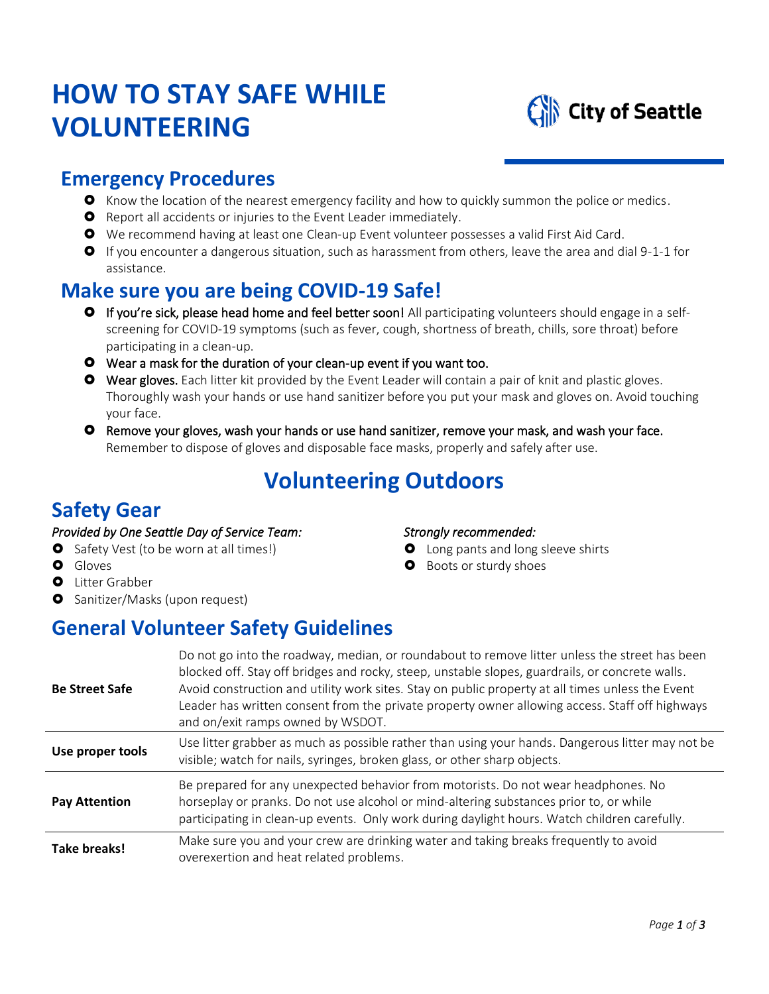# **HOW TO STAY SAFE WHILE VOLUNTEERING**



### **Emergency Procedures**

- **O** Know the location of the nearest emergency facility and how to quickly summon the police or medics.
- **O** Report all accidents or injuries to the Event Leader immediately.
- We recommend having at least one Clean-up Event volunteer possesses a valid First Aid Card.
- If you encounter a dangerous situation, such as harassment from others, leave the area and dial 9-1-1 for assistance.

## **Make sure you are being COVID-19 Safe!**

- If you're sick, please head home and feel better soon! All participating volunteers should engage in [a self](https://www.cdc.gov/coronavirus/2019-ncov/if-you-are-sick/steps-when-sick.html)[screening](https://www.cdc.gov/coronavirus/2019-ncov/if-you-are-sick/steps-when-sick.html) for COVID-19 symptoms (such as fever, cough, shortness of breath, chills, sore throat) before participating in a clean-up.
- Wear a mask for the duration of your clean-up event if you want too.
- **O** Wear gloves. Each litter kit provided by the Event Leader will contain a pair of knit and plastic gloves. Thoroughly wash your hands or use hand sanitizer before you put your mask and gloves on. Avoid touching your face.
- **O** Remove your gloves, wash your hands or use hand sanitizer, remove your mask, and wash your face. Remember to dispose of gloves and disposable face masks, properly and safely after use.

# **Volunteering Outdoors**

*Strongly recommended:* 

**O** Boots or sturdy shoes

**O** Long pants and long sleeve shirts

## **Safety Gear**

#### *Provided by One Seattle Day of Service Team:*

- **O** Safety Vest (to be worn at all times!)
- **O** Gloves
- **O** Litter Grabber
- **O** Sanitizer/Masks (upon request)

## **General Volunteer Safety Guidelines**

| <b>Be Street Safe</b> | Do not go into the roadway, median, or roundabout to remove litter unless the street has been<br>blocked off. Stay off bridges and rocky, steep, unstable slopes, guardrails, or concrete walls.<br>Avoid construction and utility work sites. Stay on public property at all times unless the Event<br>Leader has written consent from the private property owner allowing access. Staff off highways<br>and on/exit ramps owned by WSDOT. |
|-----------------------|---------------------------------------------------------------------------------------------------------------------------------------------------------------------------------------------------------------------------------------------------------------------------------------------------------------------------------------------------------------------------------------------------------------------------------------------|
| Use proper tools      | Use litter grabber as much as possible rather than using your hands. Dangerous litter may not be<br>visible; watch for nails, syringes, broken glass, or other sharp objects.                                                                                                                                                                                                                                                               |
| <b>Pay Attention</b>  | Be prepared for any unexpected behavior from motorists. Do not wear headphones. No<br>horseplay or pranks. Do not use alcohol or mind-altering substances prior to, or while<br>participating in clean-up events. Only work during daylight hours. Watch children carefully.                                                                                                                                                                |
| Take breaks!          | Make sure you and your crew are drinking water and taking breaks frequently to avoid<br>overexertion and heat related problems.                                                                                                                                                                                                                                                                                                             |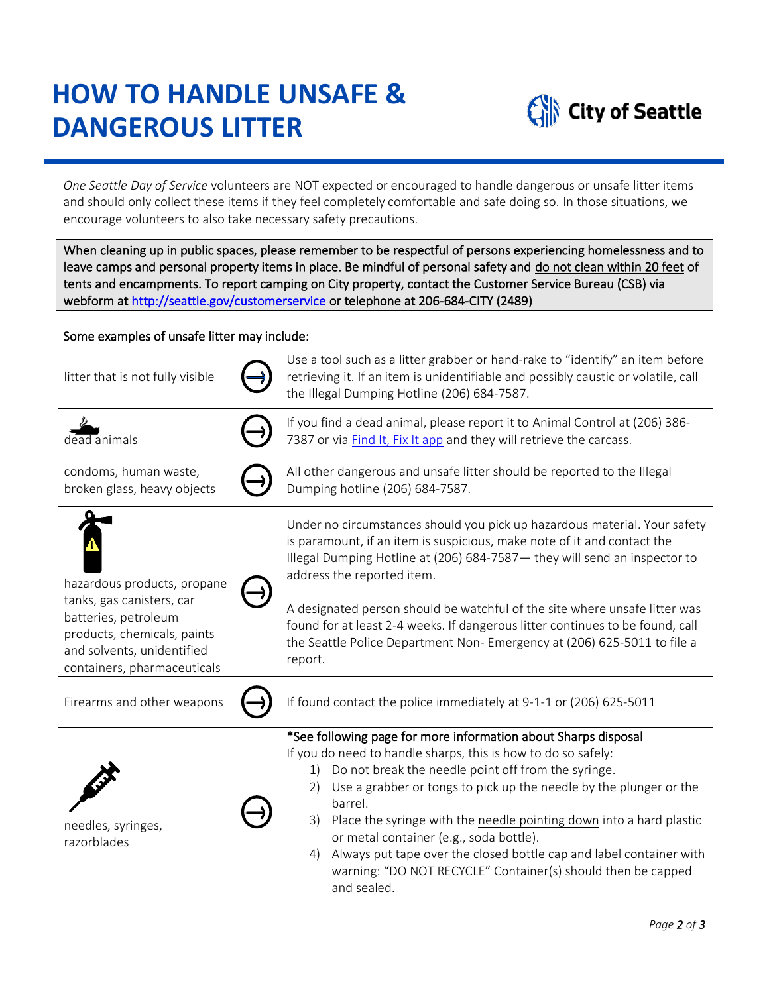# **HOW TO HANDLE UNSAFE & DANGEROUS LITTER**



*One Seattle Day of Service* volunteers are NOT expected or encouraged to handle dangerous or unsafe litter items and should only collect these items if they feel completely comfortable and safe doing so. In those situations, we encourage volunteers to also take necessary safety precautions.

When cleaning up in public spaces, please remember to be respectful of persons experiencing homelessness and to leave camps and personal property items in place. Be mindful of personal safety and do not clean within 20 feet of tents and encampments. To report camping on City property, contact the Customer Service Bureau (CSB) via webform a[t http://seattle.gov/customerservice](http://seattle.gov/customerservice) or telephone at 206-684-CITY (2489)

#### Some examples of unsafe litter may include:

| litter that is not fully visible                                                                                                              | Use a tool such as a litter grabber or hand-rake to "identify" an item before<br>retrieving it. If an item is unidentifiable and possibly caustic or volatile, call<br>the Illegal Dumping Hotline (206) 684-7587.                                                                                                                                                                                                                                                                                                                                       |
|-----------------------------------------------------------------------------------------------------------------------------------------------|----------------------------------------------------------------------------------------------------------------------------------------------------------------------------------------------------------------------------------------------------------------------------------------------------------------------------------------------------------------------------------------------------------------------------------------------------------------------------------------------------------------------------------------------------------|
| dead animals                                                                                                                                  | If you find a dead animal, please report it to Animal Control at (206) 386-<br>7387 or via Find It, Fix It app and they will retrieve the carcass.                                                                                                                                                                                                                                                                                                                                                                                                       |
| condoms, human waste,<br>broken glass, heavy objects                                                                                          | All other dangerous and unsafe litter should be reported to the Illegal<br>Dumping hotline (206) 684-7587.                                                                                                                                                                                                                                                                                                                                                                                                                                               |
| hazardous products, propane                                                                                                                   | Under no circumstances should you pick up hazardous material. Your safety<br>is paramount, if an item is suspicious, make note of it and contact the<br>Illegal Dumping Hotline at (206) 684-7587 - they will send an inspector to<br>address the reported item.                                                                                                                                                                                                                                                                                         |
| tanks, gas canisters, car<br>batteries, petroleum<br>products, chemicals, paints<br>and solvents, unidentified<br>containers, pharmaceuticals | A designated person should be watchful of the site where unsafe litter was<br>found for at least 2-4 weeks. If dangerous litter continues to be found, call<br>the Seattle Police Department Non- Emergency at (206) 625-5011 to file a<br>report.                                                                                                                                                                                                                                                                                                       |
| Firearms and other weapons                                                                                                                    | If found contact the police immediately at 9-1-1 or (206) 625-5011                                                                                                                                                                                                                                                                                                                                                                                                                                                                                       |
| needles, syringes,<br>razorblades                                                                                                             | *See following page for more information about Sharps disposal<br>If you do need to handle sharps, this is how to do so safely:<br>Do not break the needle point off from the syringe.<br>1)<br>Use a grabber or tongs to pick up the needle by the plunger or the<br>2)<br>barrel.<br>Place the syringe with the needle pointing down into a hard plastic<br>3)<br>or metal container (e.g., soda bottle).<br>Always put tape over the closed bottle cap and label container with<br>4)<br>warning: "DO NOT RECYCLE" Container(s) should then be capped |

and sealed.